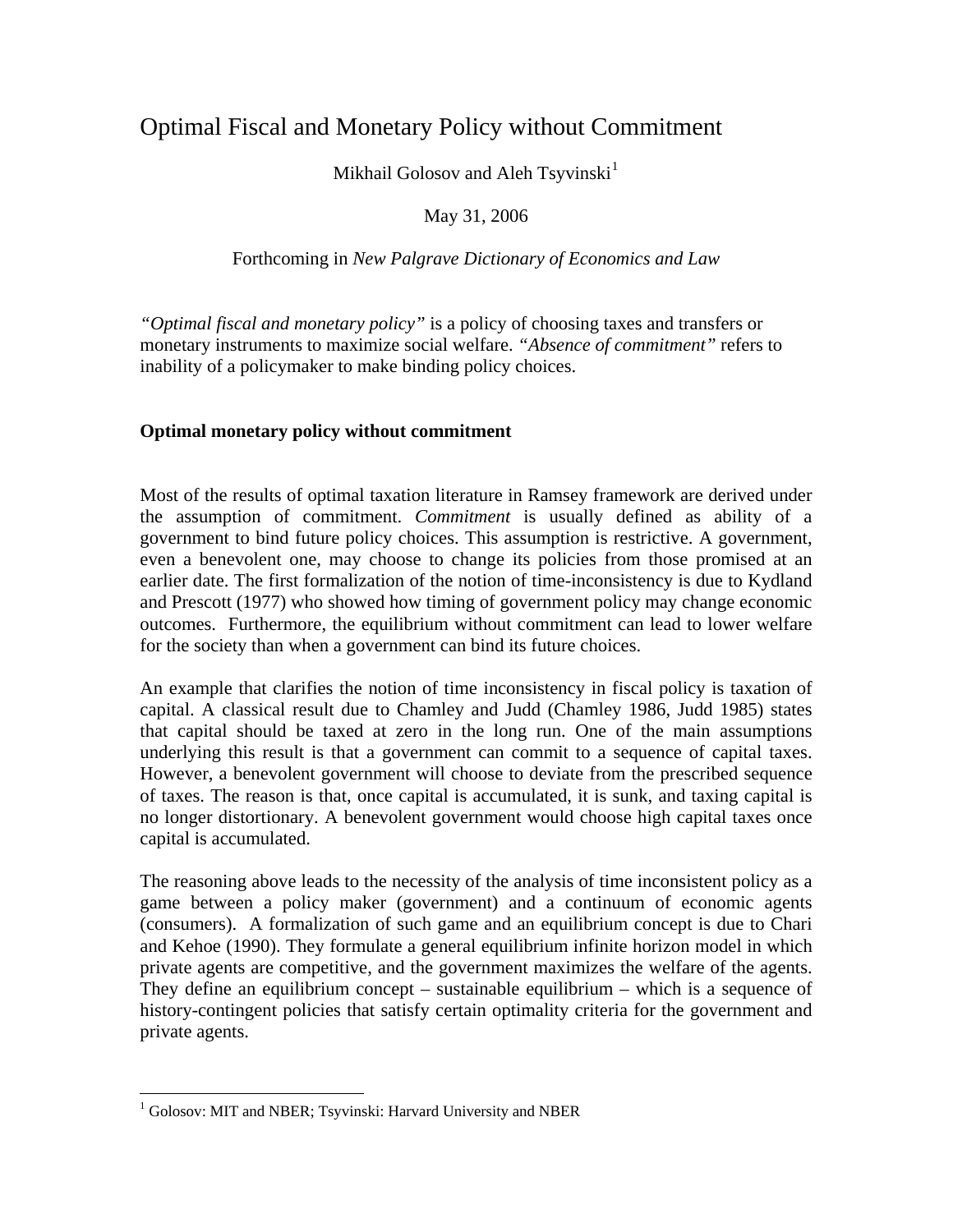# Optimal Fiscal and Monetary Policy without Commitment

Mikhail Golosov and Aleh Tsyvinski<sup>[1](#page-0-0)</sup>

## May 31, 2006

#### Forthcoming in *New Palgrave Dictionary of Economics and Law*

*"Optimal fiscal and monetary policy"* is a policy of choosing taxes and transfers or monetary instruments to maximize social welfare. *"Absence of commitment"* refers to inability of a policymaker to make binding policy choices.

### **Optimal monetary policy without commitment**

Most of the results of optimal taxation literature in Ramsey framework are derived under the assumption of commitment. *Commitment* is usually defined as ability of a government to bind future policy choices. This assumption is restrictive. A government, even a benevolent one, may choose to change its policies from those promised at an earlier date. The first formalization of the notion of time-inconsistency is due to Kydland and Prescott (1977) who showed how timing of government policy may change economic outcomes. Furthermore, the equilibrium without commitment can lead to lower welfare for the society than when a government can bind its future choices.

An example that clarifies the notion of time inconsistency in fiscal policy is taxation of capital. A classical result due to Chamley and Judd (Chamley 1986, Judd 1985) states that capital should be taxed at zero in the long run. One of the main assumptions underlying this result is that a government can commit to a sequence of capital taxes. However, a benevolent government will choose to deviate from the prescribed sequence of taxes. The reason is that, once capital is accumulated, it is sunk, and taxing capital is no longer distortionary. A benevolent government would choose high capital taxes once capital is accumulated.

The reasoning above leads to the necessity of the analysis of time inconsistent policy as a game between a policy maker (government) and a continuum of economic agents (consumers). A formalization of such game and an equilibrium concept is due to Chari and Kehoe (1990). They formulate a general equilibrium infinite horizon model in which private agents are competitive, and the government maximizes the welfare of the agents. They define an equilibrium concept – sustainable equilibrium – which is a sequence of history-contingent policies that satisfy certain optimality criteria for the government and private agents.

<span id="page-0-0"></span> 1 Golosov: MIT and NBER; Tsyvinski: Harvard University and NBER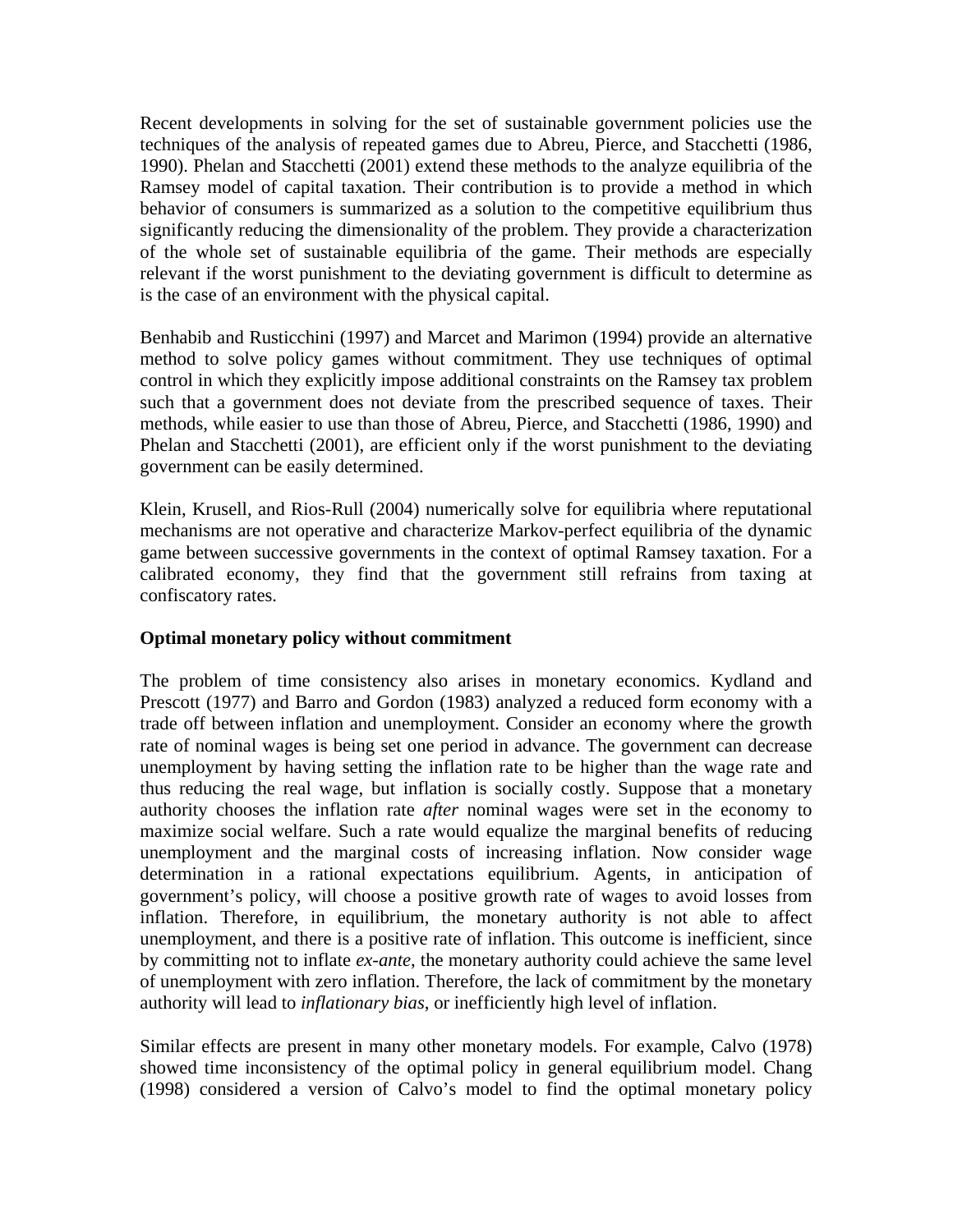Recent developments in solving for the set of sustainable government policies use the techniques of the analysis of repeated games due to Abreu, Pierce, and Stacchetti (1986, 1990). Phelan and Stacchetti (2001) extend these methods to the analyze equilibria of the Ramsey model of capital taxation. Their contribution is to provide a method in which behavior of consumers is summarized as a solution to the competitive equilibrium thus significantly reducing the dimensionality of the problem. They provide a characterization of the whole set of sustainable equilibria of the game. Their methods are especially relevant if the worst punishment to the deviating government is difficult to determine as is the case of an environment with the physical capital.

Benhabib and Rusticchini (1997) and Marcet and Marimon (1994) provide an alternative method to solve policy games without commitment. They use techniques of optimal control in which they explicitly impose additional constraints on the Ramsey tax problem such that a government does not deviate from the prescribed sequence of taxes. Their methods, while easier to use than those of Abreu, Pierce, and Stacchetti (1986, 1990) and Phelan and Stacchetti (2001), are efficient only if the worst punishment to the deviating government can be easily determined.

Klein, Krusell, and Rios-Rull (2004) numerically solve for equilibria where reputational mechanisms are not operative and characterize Markov-perfect equilibria of the dynamic game between successive governments in the context of optimal Ramsey taxation. For a calibrated economy, they find that the government still refrains from taxing at confiscatory rates.

## **Optimal monetary policy without commitment**

The problem of time consistency also arises in monetary economics. Kydland and Prescott (1977) and Barro and Gordon (1983) analyzed a reduced form economy with a trade off between inflation and unemployment. Consider an economy where the growth rate of nominal wages is being set one period in advance. The government can decrease unemployment by having setting the inflation rate to be higher than the wage rate and thus reducing the real wage, but inflation is socially costly. Suppose that a monetary authority chooses the inflation rate *after* nominal wages were set in the economy to maximize social welfare. Such a rate would equalize the marginal benefits of reducing unemployment and the marginal costs of increasing inflation. Now consider wage determination in a rational expectations equilibrium. Agents, in anticipation of government's policy, will choose a positive growth rate of wages to avoid losses from inflation. Therefore, in equilibrium, the monetary authority is not able to affect unemployment, and there is a positive rate of inflation. This outcome is inefficient, since by committing not to inflate *ex-ante*, the monetary authority could achieve the same level of unemployment with zero inflation. Therefore, the lack of commitment by the monetary authority will lead to *inflationary bias*, or inefficiently high level of inflation.

Similar effects are present in many other monetary models. For example, Calvo (1978) showed time inconsistency of the optimal policy in general equilibrium model. Chang (1998) considered a version of Calvo's model to find the optimal monetary policy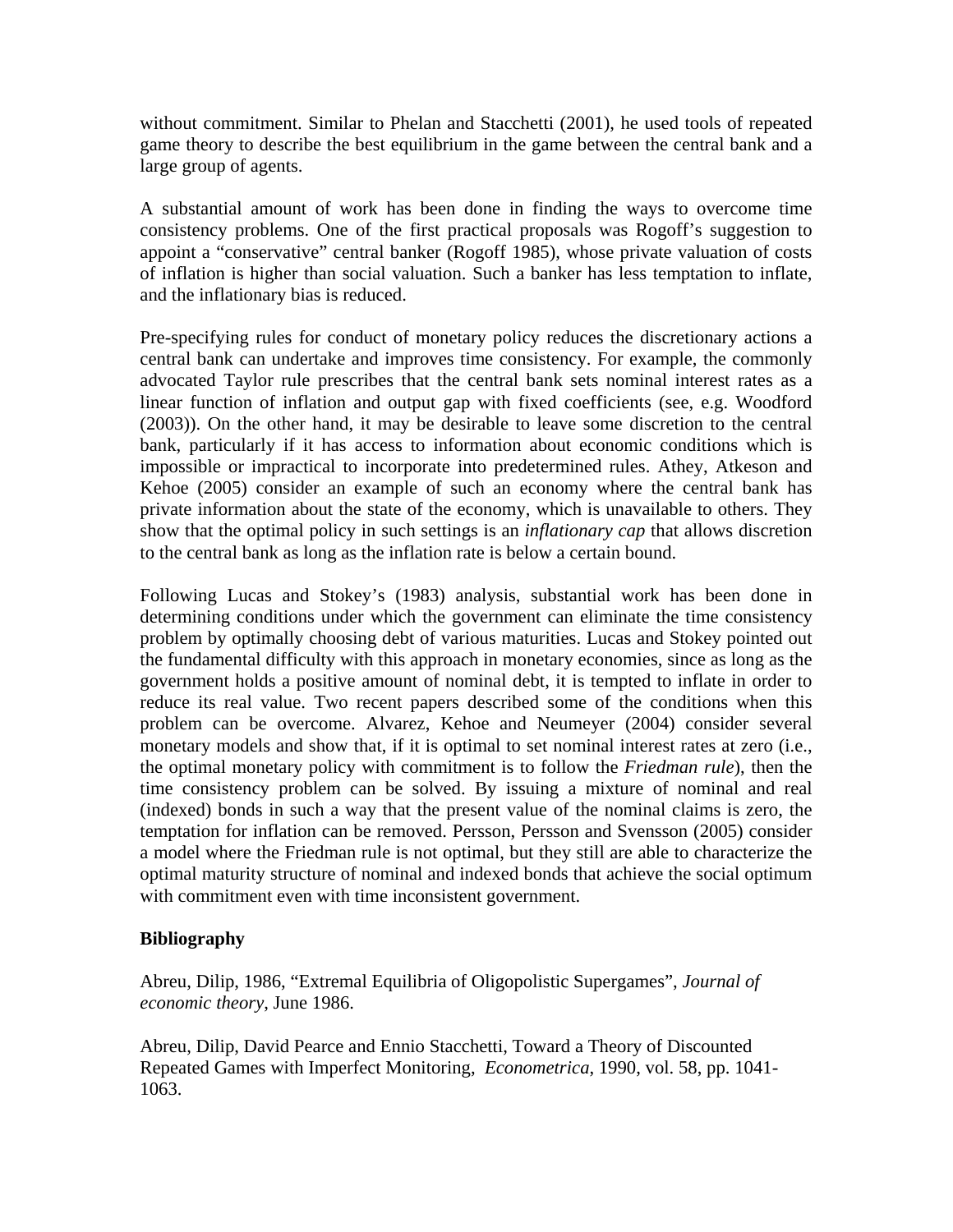without commitment. Similar to Phelan and Stacchetti (2001), he used tools of repeated game theory to describe the best equilibrium in the game between the central bank and a large group of agents.

A substantial amount of work has been done in finding the ways to overcome time consistency problems. One of the first practical proposals was Rogoff's suggestion to appoint a "conservative" central banker (Rogoff 1985), whose private valuation of costs of inflation is higher than social valuation. Such a banker has less temptation to inflate, and the inflationary bias is reduced.

Pre-specifying rules for conduct of monetary policy reduces the discretionary actions a central bank can undertake and improves time consistency. For example, the commonly advocated Taylor rule prescribes that the central bank sets nominal interest rates as a linear function of inflation and output gap with fixed coefficients (see, e.g. Woodford (2003)). On the other hand, it may be desirable to leave some discretion to the central bank, particularly if it has access to information about economic conditions which is impossible or impractical to incorporate into predetermined rules. Athey, Atkeson and Kehoe (2005) consider an example of such an economy where the central bank has private information about the state of the economy, which is unavailable to others. They show that the optimal policy in such settings is an *inflationary cap* that allows discretion to the central bank as long as the inflation rate is below a certain bound.

Following Lucas and Stokey's (1983) analysis, substantial work has been done in determining conditions under which the government can eliminate the time consistency problem by optimally choosing debt of various maturities. Lucas and Stokey pointed out the fundamental difficulty with this approach in monetary economies, since as long as the government holds a positive amount of nominal debt, it is tempted to inflate in order to reduce its real value. Two recent papers described some of the conditions when this problem can be overcome. Alvarez, Kehoe and Neumeyer (2004) consider several monetary models and show that, if it is optimal to set nominal interest rates at zero (i.e., the optimal monetary policy with commitment is to follow the *Friedman rule*), then the time consistency problem can be solved. By issuing a mixture of nominal and real (indexed) bonds in such a way that the present value of the nominal claims is zero, the temptation for inflation can be removed. Persson, Persson and Svensson (2005) consider a model where the Friedman rule is not optimal, but they still are able to characterize the optimal maturity structure of nominal and indexed bonds that achieve the social optimum with commitment even with time inconsistent government.

#### **Bibliography**

Abreu, Dilip, 1986, "Extremal Equilibria of Oligopolistic Supergames", *[Journal of](http://www.academicpress.com/jet)  [economic theory](http://www.academicpress.com/jet)*, June 1986.

Abreu, Dilip, David Pearce and Ennio Stacchetti, Toward a Theory of Discounted Repeated Games with Imperfect Monitoring, *Econometrica*, 1990, vol. 58, pp. 1041- 1063.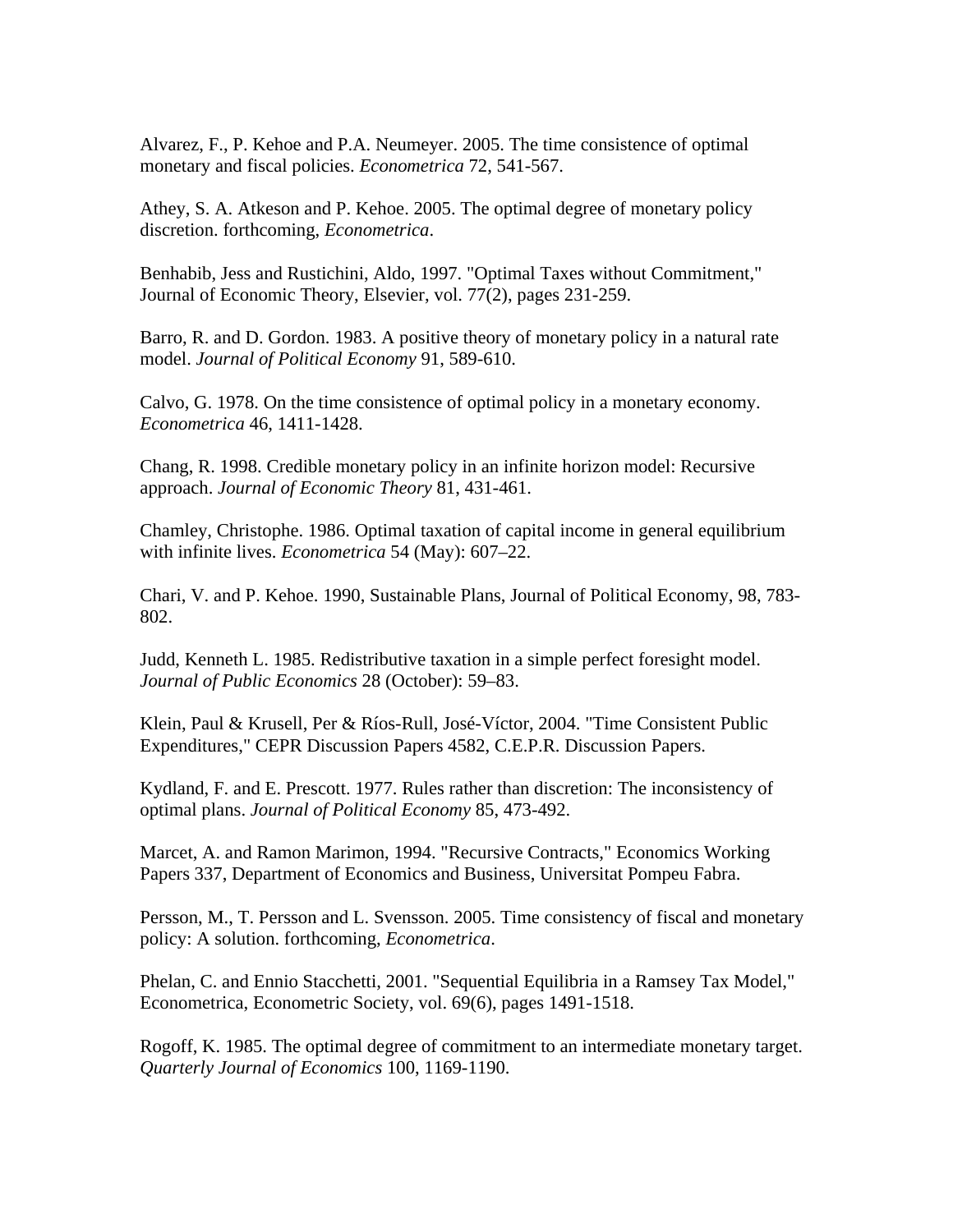Alvarez, F., P. Kehoe and P.A. Neumeyer. 2005. The time consistence of optimal monetary and fiscal policies. *Econometrica* 72, 541-567.

Athey, S. A. Atkeson and P. Kehoe. 2005. The optimal degree of monetary policy discretion. forthcoming, *Econometrica*.

Benhabib, Jess and Rustichini, Aldo, 1997. "[Optimal Taxes without Commitment,](http://ideas.repec.org/a/eee/jetheo/v77y1997i2p231-259.html)" [Journal of Economic Theory,](http://ideas.repec.org/s/eee/jetheo.html) Elsevier, vol. 77(2), pages 231-259.

Barro, R. and D. Gordon. 1983. A positive theory of monetary policy in a natural rate model. *Journal of Political Economy* 91, 589-610.

Calvo, G. 1978. On the time consistence of optimal policy in a monetary economy. *Econometrica* 46, 1411-1428.

Chang, R. 1998. Credible monetary policy in an infinite horizon model: Recursive approach. *Journal of Economic Theory* 81, 431-461.

Chamley, Christophe. 1986. Optimal taxation of capital income in general equilibrium with infinite lives. *Econometrica* 54 (May): 607–22.

Chari, V. and P. Kehoe. 1990, Sustainable Plans, Journal of Political Economy, 98, 783- 802.

Judd, Kenneth L. 1985. Redistributive taxation in a simple perfect foresight model. *Journal of Public Economics* 28 (October): 59–83.

Klein, Paul & Krusell, Per & Ríos-Rull, José-Víctor, 2004. "[Time Consistent Public](http://ideas.repec.org/p/cpr/ceprdp/4582.html)  [Expenditures](http://ideas.repec.org/p/cpr/ceprdp/4582.html)," [CEPR Discussion Papers](http://ideas.repec.org/s/cpr/ceprdp.html) 4582, C.E.P.R. Discussion Papers.

Kydland, F. and E. Prescott. 1977. Rules rather than discretion: The inconsistency of optimal plans. *Journal of Political Economy* 85, 473-492.

Marcet, A. and Ramon Marimon, 1994. ["Recursive Contracts](http://ideas.repec.org/p/upf/upfgen/337.html)," [Economics Working](http://ideas.repec.org/s/upf/upfgen.html)  [Papers](http://ideas.repec.org/s/upf/upfgen.html) 337, Department of Economics and Business, Universitat Pompeu Fabra.

Persson, M., T. Persson and L. Svensson. 2005. Time consistency of fiscal and monetary policy: A solution. forthcoming, *Econometrica*.

Phelan, C. and Ennio Stacchetti, 2001. "[Sequential Equilibria in a Ramsey Tax Model,](http://ideas.repec.org/a/ecm/emetrp/v69y2001i6p1491-1518.html)" [Econometrica,](http://ideas.repec.org/s/ecm/emetrp.html) Econometric Society, vol. 69(6), pages 1491-1518.

Rogoff, K. 1985. The optimal degree of commitment to an intermediate monetary target. *Quarterly Journal of Economics* 100, 1169-1190.